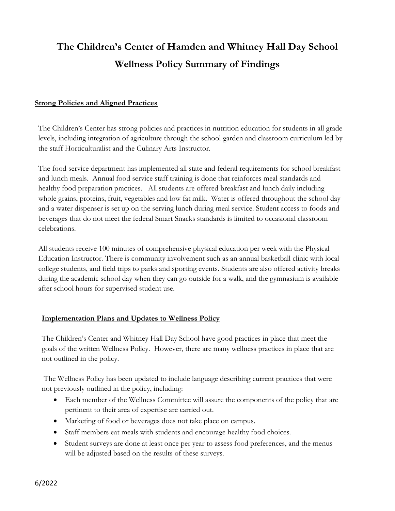## **The Children's Center of Hamden and Whitney Hall Day School Wellness Policy Summary of Findings**

## **Strong Policies and Aligned Practices**

The Children's Center has strong policies and practices in nutrition education for students in all grade levels, including integration of agriculture through the school garden and classroom curriculum led by the staff Horticulturalist and the Culinary Arts Instructor.

The food service department has implemented all state and federal requirements for school breakfast and lunch meals. Annual food service staff training is done that reinforces meal standards and healthy food preparation practices. All students are offered breakfast and lunch daily including whole grains, proteins, fruit, vegetables and low fat milk. Water is offered throughout the school day and a water dispenser is set up on the serving lunch during meal service. Student access to foods and beverages that do not meet the federal Smart Snacks standards is limited to occasional classroom celebrations.

All students receive 100 minutes of comprehensive physical education per week with the Physical Education Instructor. There is community involvement such as an annual basketball clinic with local college students, and field trips to parks and sporting events. Students are also offered activity breaks during the academic school day when they can go outside for a walk, and the gymnasium is available after school hours for supervised student use.

## **Implementation Plans and Updates to Wellness Policy**

The Children's Center and Whitney Hall Day School have good practices in place that meet the goals of the written Wellness Policy. However, there are many wellness practices in place that are not outlined in the policy.

The Wellness Policy has been updated to include language describing current practices that were not previously outlined in the policy, including:

- Each member of the Wellness Committee will assure the components of the policy that are pertinent to their area of expertise are carried out.
- Marketing of food or beverages does not take place on campus.
- Staff members eat meals with students and encourage healthy food choices.
- Student surveys are done at least once per year to assess food preferences, and the menus will be adjusted based on the results of these surveys.